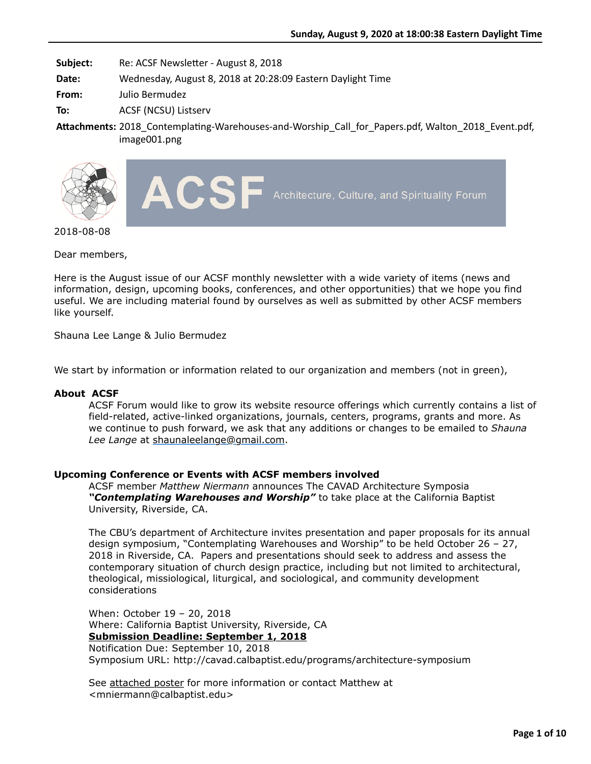**Subject:** Re: ACSF Newsletter - August 8, 2018

**Date:** Wednesday, August 8, 2018 at 20:28:09 Eastern Daylight Time

**From:** Julio Bermudez

**To:** ACSF (NCSU) Listserv

Attachments: 2018\_Contemplating-Warehouses-and-Worship\_Call\_for\_Papers.pdf, Walton\_2018\_Event.pdf, image001.png





2018-08-08

Dear members,

Here is the August issue of our ACSF monthly newsletter with a wide variety of items (news and information, design, upcoming books, conferences, and other opportunities) that we hope you find useful. We are including material found by ourselves as well as submitted by other ACSF members like yourself.

Shauna Lee Lange & Julio Bermudez

We start by information or information related to our organization and members (not in green),

### **About ACSF**

ACSF Forum would like to grow its website resource offerings which currently contains a list of field-related, active-linked organizations, journals, centers, programs, grants and more. As we continue to push forward, we ask that any additions or changes to be emailed to *Shauna Lee Lange* at [shaunaleelange@gmail.com](mailto:shaunaleelange@gmail.com).

## **Upcoming Conference or Events with ACSF members involved**

ACSF member *Matthew Niermann* announces The CAVAD Architecture Symposia *"Contemplating Warehouses and Worship"* to take place at the California Baptist University, Riverside, CA.

The CBU's department of Architecture invites presentation and paper proposals for its annual design symposium, "Contemplating Warehouses and Worship" to be held October 26 – 27, 2018 in Riverside, CA. Papers and presentations should seek to address and assess the contemporary situation of church design practice, including but not limited to architectural, theological, missiological, liturgical, and sociological, and community development considerations

When: October 19 – 20, 2018 Where: California Baptist University, Riverside, CA **Submission Deadline: September 1, 2018** Notification Due: September 10, 2018 Symposium URL: http://cavad.calbaptist.edu/programs/architecture-symposium

See attached poster for more information or contact Matthew at <mniermann@calbaptist.edu>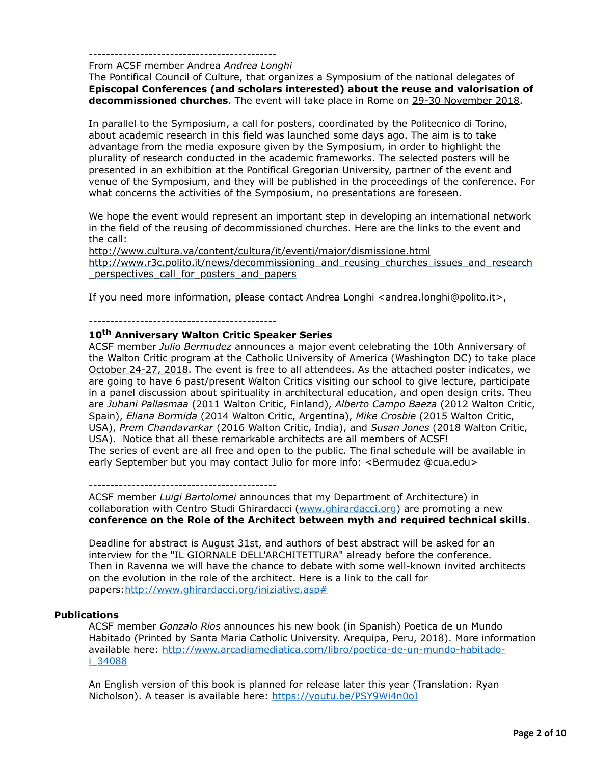#### --------------------------------------------

#### From ACSF member Andrea *Andrea Longhi*

The Pontifical Council of Culture, that organizes a Symposium of the national delegates of **Episcopal Conferences (and scholars interested) about the reuse and valorisation of decommissioned churches**. The event will take place in Rome on 29-30 November 2018.

In parallel to the Symposium, a call for posters, coordinated by the Politecnico di Torino, about academic research in this field was launched some days ago. The aim is to take advantage from the media exposure given by the Symposium, in order to highlight the plurality of research conducted in the academic frameworks. The selected posters will be presented in an exhibition at the Pontifical Gregorian University, partner of the event and venue of the Symposium, and they will be published in the proceedings of the conference. For what concerns the activities of the Symposium, no presentations are foreseen.

We hope the event would represent an important step in developing an international network in the field of the reusing of decommissioned churches. Here are the links to the event and the call:

<http://www.cultura.va/content/cultura/it/eventi/major/dismissione.html> [http://www.r3c.polito.it/news/decommissioning\\_and\\_reusing\\_churches\\_issues\\_and\\_research](http://www.r3c.polito.it/news/decommissioning_and_reusing_churches_issues_and_research_perspectives_call_for_posters_and_papers) \_perspectives\_call\_for\_posters\_and\_papers

If you need more information, please contact Andrea Longhi <andrea.longhi@polito.it>,

# --------------------------------------------

# **10th Anniversary Walton Critic Speaker Series**

ACSF member *Julio Bermudez* announces a major event celebrating the 10th Anniversary of the Walton Critic program at the Catholic University of America (Washington DC) to take place October 24-27, 2018. The event is free to all attendees. As the attached poster indicates, we are going to have 6 past/present Walton Critics visiting our school to give lecture, participate in a panel discussion about spirituality in architectural education, and open design crits. Theu are *Juhani Pallasmaa* (2011 Walton Critic, Finland), *Alberto Campo Baeza* (2012 Walton Critic, Spain), *Eliana Bormida* (2014 Walton Critic, Argentina), *Mike Crosbie* (2015 Walton Critic, USA), *Prem Chandavarkar* (2016 Walton Critic, India), and *Susan Jones* (2018 Walton Critic, USA). Notice that all these remarkable architects are all members of ACSF! The series of event are all free and open to the public. The final schedule will be available in early September but you may contact Julio for more info: <Bermudez @cua.edu>

#### --------------------------------------------

ACSF member *Luigi Bartolomei* announces that my Department of Architecture) in collaboration with Centro Studi Ghirardacci [\(www.ghirardacci.org\)](http://www.ghirardacci.org/) are promoting a new **conference on the Role of the Architect between myth and required technical skills**.

Deadline for abstract is August 31st, and authors of best abstract will be asked for an interview for the "IL GIORNALE DELL'ARCHITETTURA" already before the conference. Then in Ravenna we will have the chance to debate with some well-known invited architects on the evolution in the role of the architect. Here is a link to the call for papers[:http://www.ghirardacci.org/iniziative.asp#](http://www.ghirardacci.org/iniziative.asp)

### **Publications**

ACSF member *Gonzalo Rios* announces his new book (in Spanish) Poetica de un Mundo Habitado (Printed by Santa Maria Catholic University. Arequipa, Peru, 2018). More information available here: [http://www.arcadiamediatica.com/libro/poetica-de-un-mundo-habitado](http://www.arcadiamediatica.com/libro/poetica-de-un-mundo-habitado-i_34088)i\_34088

An English version of this book is planned for release later this year (Translation: Ryan Nicholson). A teaser is available here: <https://youtu.be/PSY9Wi4n0oI>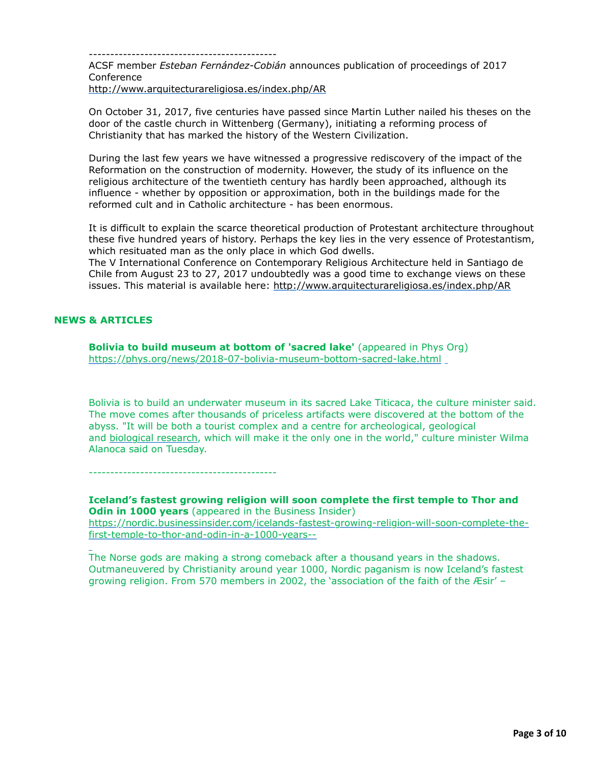--------------------------------------------

ACSF member *Esteban Fernández-Cobián* announces publication of proceedings of 2017 Conference

<http://www.arquitecturareligiosa.es/index.php/AR>

On October 31, 2017, five centuries have passed since Martin Luther nailed his theses on the door of the castle church in Wittenberg (Germany), initiating a reforming process of Christianity that has marked the history of the Western Civilization.

During the last few years we have witnessed a progressive rediscovery of the impact of the Reformation on the construction of modernity. However, the study of its influence on the religious architecture of the twentieth century has hardly been approached, although its influence - whether by opposition or approximation, both in the buildings made for the reformed cult and in Catholic architecture - has been enormous.

It is difficult to explain the scarce theoretical production of Protestant architecture throughout these five hundred years of history. Perhaps the key lies in the very essence of Protestantism, which resituated man as the only place in which God dwells.

The V International Conference on Contemporary Religious Architecture held in Santiago de Chile from August 23 to 27, 2017 undoubtedly was a good time to exchange views on these issues. This material is available here:<http://www.arquitecturareligiosa.es/index.php/AR>

### **NEWS & ARTICLES**

**Bolivia to build museum at bottom of 'sacred lake'** (appeared in Phys Org) <https://phys.org/news/2018-07-bolivia-museum-bottom-sacred-lake.html>

Bolivia is to build an underwater museum in its sacred Lake Titicaca, the culture minister said. The move comes after thousands of priceless artifacts were discovered at the bottom of the abyss. "It will be both a tourist complex and a centre for archeological, geological and [biological research,](https://phys.org/tags/biological+research/) which will make it the only one in the world," culture minister Wilma Alanoca said on Tuesday.

--------------------------------------------

**Iceland's fastest growing religion will soon complete the first temple to Thor and Odin in 1000 years** (appeared in the Business Insider) [https://nordic.businessinsider.com/icelands-fastest-growing-religion-will-soon-complete-the](https://nordic.businessinsider.com/icelands-fastest-growing-religion-will-soon-complete-the-first-temple-to-thor-and-odin-in-a-1000-years--)first-temple-to-thor-and-odin-in-a-1000-years--

The Norse gods are making a strong comeback after a thousand years in the shadows. Outmaneuvered by Christianity around year 1000, Nordic paganism is now Iceland's fastest growing religion. From 570 members in 2002, the 'association of the faith of the Æsir' –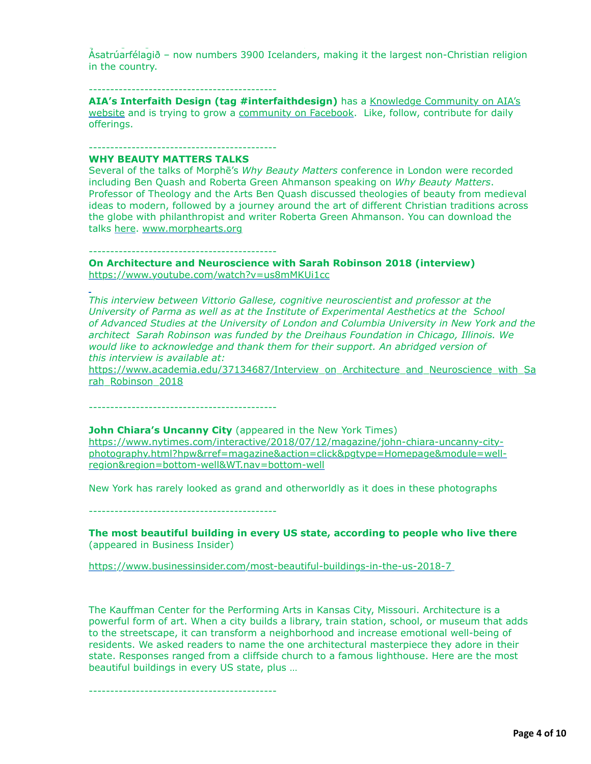Ásatrúarfélagið – now numbers 3900 Icelanders, making it the largest non-Christian religion in the country.

 $g_{\rm eff}$  religion. From 570 members in 2002, the faith of the faith of the  $E$ sir' –  $E$ 

### --------------------------------------------

**AIA's Interfaith Design (tag #interfaithdesign)** has a Knowledge Community on AIA's [website and is trying to grow a community on Facebook. Like, follow, contribute for daily](https://network.aia.org/interfaithdesign/home) offerings.

### --------------------------------------------

--------------------------------------------

### **WHY BEAUTY MATTERS TALKS**

Several of the talks of Morphē's *Why Beauty Matters* conference in London were recorded including Ben Quash and Roberta Green Ahmanson speaking on *Why Beauty Matters*. Professor of Theology and the Arts Ben Quash discussed theologies of beauty from medieval ideas to modern, followed by a journey around the art of different Christian traditions across the globe with philanthropist and writer Roberta Green Ahmanson. You can download the talks [here.](https://morphearts.us4.list-manage.com/track/click?u=0ed54006c8dff8655c4f10917&id=751995bb01&e=d8d28163a3) [www.morphearts.org](https://morphearts.us4.list-manage.com/track/click?u=0ed54006c8dff8655c4f10917&id=f837c52237&e=d8d28163a3)

**On Architecture and Neuroscience with Sarah Robinson 2018 (interview)** <https://www.youtube.com/watch?v=us8mMKUi1cc>

*This interview between Vittorio Gallese, cognitive neuroscientist and professor at the University of Parma as well as at the Institute of Experimental Aesthetics at the School of Advanced Studies at the University of London and Columbia University in New York and the architect Sarah Robinson was funded by the Dreihaus Foundation in Chicago, Illinois. We would like to acknowledge and thank them for their support. An abridged version of this interview is available at:*

[https://www.academia.edu/37134687/Interview\\_on\\_Architecture\\_and\\_Neuroscience\\_with\\_Sa](https://www.academia.edu/37134687/Interview_on_Architecture_and_Neuroscience_with_Sarah_Robinson_2018) rah\_Robinson\_2018

--------------------------------------------

### **John Chiara's Uncanny City** (appeared in the New York Times)

https://www.nytimes.com/interactive/2018/07/12/magazine/john-chiara-uncanny-city[photography.html?hpw&rref=magazine&action=click&pgtype=Homepage&module=well](https://www.nytimes.com/interactive/2018/07/12/magazine/john-chiara-uncanny-city-photography.html?hpw&rref=magazine&action=click&pgtype=Homepage&module=well-region®ion=bottom-well&WT.nav=bottom-well)region&region=bottom-well&WT.nav=bottom-well

New York has rarely looked as grand and otherworldly as it does in these photographs

--------------------------------------------

**The most beautiful building in every US state, according to people who live there** (appeared in Business Insider)

<https://www.businessinsider.com/most-beautiful-buildings-in-the-us-2018-7>

The Kauffman Center for the Performing Arts in Kansas City, Missouri. Architecture is a powerful form of art. When a city builds a library, train station, school, or museum that adds to the streetscape, it can transform a neighborhood and increase emotional well-being of residents. We asked readers to name the one architectural masterpiece they adore in their state. Responses ranged from a cliffside church to a famous lighthouse. Here are the most beautiful buildings in every US state, plus …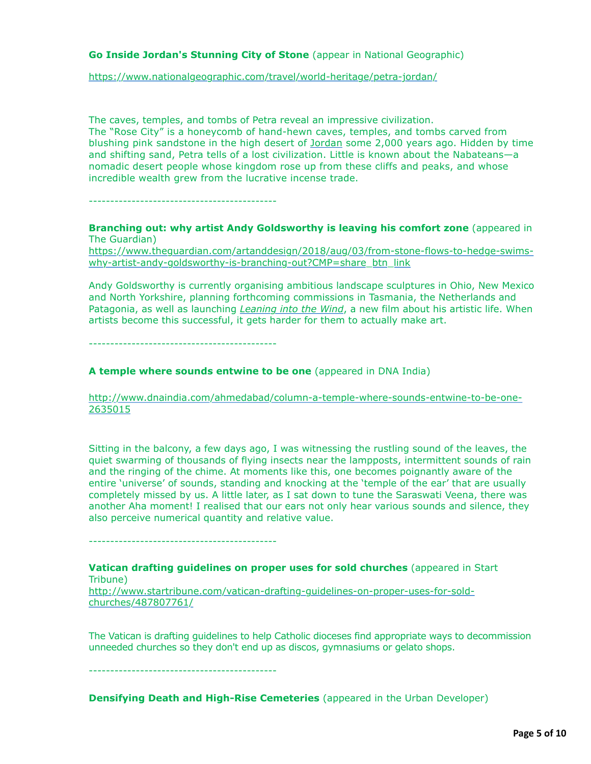## **Go Inside Jordan's Stunning City of Stone** (appear in National Geographic)

<https://www.nationalgeographic.com/travel/world-heritage/petra-jordan/>

The caves, temples, and tombs of Petra reveal an impressive civilization. The "Rose City" is a honeycomb of hand-hewn caves, temples, and tombs carved from blushing pink sandstone in the high desert of [Jordan](https://ib.adnxs.com/seg?add=1&redir=https%3A%2F%2Fwww.nationalgeographic.com%2Ftravel%2Fdestinations%2Fasia%2Fjordan%2F) some 2,000 years ago. Hidden by time and shifting sand, Petra tells of a lost civilization. Little is known about the Nabateans—a nomadic desert people whose kingdom rose up from these cliffs and peaks, and whose incredible wealth grew from the lucrative incense trade.

--------------------------------------------

**Branching out: why artist Andy Goldsworthy is leaving his comfort zone** (appeared in The Guardian)

[https://www.theguardian.com/artanddesign/2018/aug/03/from-stone-flows-to-hedge-swims](https://www.theguardian.com/artanddesign/2018/aug/03/from-stone-flows-to-hedge-swims-why-artist-andy-goldsworthy-is-branching-out?CMP=share_btn_link)why-artist-andy-goldsworthy-is-branching-out?CMP=share\_btn\_link

Andy Goldsworthy is currently organising ambitious landscape sculptures in Ohio, New Mexico and North Yorkshire, planning forthcoming commissions in Tasmania, the Netherlands and Patagonia, as well as launching *[Leaning into the Wind](http://www.leaningintothewind.com/)*, a new film about his artistic life. When artists become this successful, it gets harder for them to actually make art.

--------------------------------------------

## **A temple where sounds entwine to be one** (appeared in DNA India)

[http://www.dnaindia.com/ahmedabad/column-a-temple-where-sounds-entwine-to-be-one-](http://www.dnaindia.com/ahmedabad/column-a-temple-where-sounds-entwine-to-be-one-2635015)2635015

Sitting in the balcony, a few days ago, I was witnessing the rustling sound of the leaves, the quiet swarming of thousands of flying insects near the lampposts, intermittent sounds of rain and the ringing of the chime. At moments like this, one becomes poignantly aware of the entire 'universe' of sounds, standing and knocking at the 'temple of the ear' that are usually completely missed by us. A little later, as I sat down to tune the Saraswati Veena, there was another Aha moment! I realised that our ears not only hear various sounds and silence, they also perceive numerical quantity and relative value.

--------------------------------------------

**Vatican drafting guidelines on proper uses for sold churches** (appeared in Start Tribune)

[http://www.startribune.com/vatican-drafting-guidelines-on-proper-uses-for-sold](http://www.startribune.com/vatican-drafting-guidelines-on-proper-uses-for-sold-churches/487807761/)churches/487807761/

The Vatican is drafting guidelines to help Catholic dioceses find appropriate ways to decommission unneeded churches so they don't end up as discos, gymnasiums or gelato shops.

--------------------------------------------

**Densifying Death and High-Rise Cemeteries** (appeared in the Urban Developer)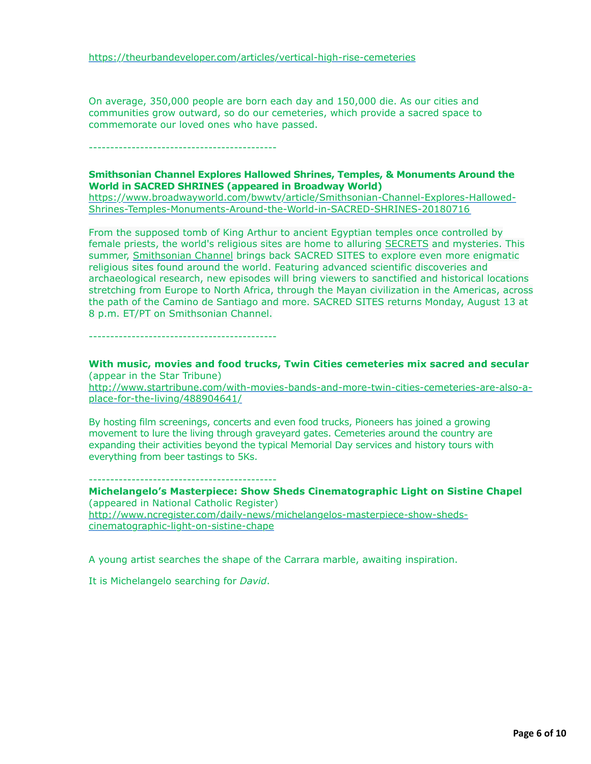On average, 350,000 people are born each day and 150,000 die. As our cities and communities grow outward, so do our cemeteries, which provide a sacred space to commemorate our loved ones who have passed.

--------------------------------------------

### **Smithsonian Channel Explores Hallowed Shrines, Temples, & Monuments Around the World in SACRED SHRINES (appeared in Broadway World)**

[https://www.broadwayworld.com/bwwtv/article/Smithsonian-Channel-Explores-Hallowed-](https://www.broadwayworld.com/bwwtv/article/Smithsonian-Channel-Explores-Hallowed-Shrines-Temples-Monuments-Around-the-World-in-SACRED-SHRINES-20180716)Shrines-Temples-Monuments-Around-the-World-in-SACRED-SHRINES-20180716

From the supposed tomb of King Arthur to ancient Egyptian temples once controlled by female priests, the world's religious sites are home to alluring [SECRETS](https://www.broadwayworld.com/bwwtv/tvshows/Secrets) and mysteries. This summer, [Smithsonian Channel](https://www.broadwayworld.com/bwwtv/tvnetworks/Smithsonian-Channel) brings back SACRED SITES to explore even more enigmatic religious sites found around the world. Featuring advanced scientific discoveries and archaeological research, new episodes will bring viewers to sanctified and historical locations stretching from Europe to North Africa, through the Mayan civilization in the Americas, across the path of the Camino de Santiago and more. SACRED SITES returns Monday, August 13 at 8 p.m. ET/PT on Smithsonian Channel.

--------------------------------------------

**With music, movies and food trucks, Twin Cities cemeteries mix sacred and secular** (appear in the Star Tribune)

[http://www.startribune.com/with-movies-bands-and-more-twin-cities-cemeteries-are-also-a](http://www.startribune.com/with-movies-bands-and-more-twin-cities-cemeteries-are-also-a-place-for-the-living/488904641/)place-for-the-living/488904641/

By hosting film screenings, concerts and even food trucks, Pioneers has joined a growing movement to lure the living through graveyard gates. Cemeteries around the country are expanding their activities beyond the typical Memorial Day services and history tours with everything from beer tastings to 5Ks.

--------------------------------------------

**Michelangelo's Masterpiece: Show Sheds Cinematographic Light on Sistine Chapel** (appeared in National Catholic Register) [http://www.ncregister.com/daily-news/michelangelos-masterpiece-show-sheds](http://www.ncregister.com/daily-news/michelangelos-masterpiece-show-sheds-cinematographic-light-on-sistine-chape)cinematographic-light-on-sistine-chape

A young artist searches the shape of the Carrara marble, awaiting inspiration.

It is Michelangelo searching for *David*.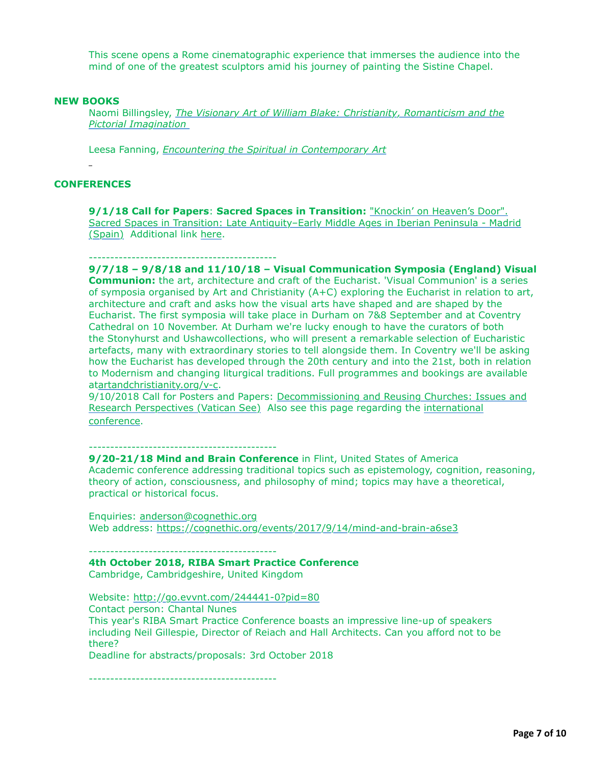This scene opens a Rome cinematographic experience that immerses the audience into the mind of one of the greatest sculptors amid his journey of painting the Sistine Chapel.

#### **NEW BOOKS**

Naomi Billingsley, *[The Visionary Art of William Blake: Christianity, Romanticism and the](https://www.amazon.com/Visionary-Art-William-Blake-Christianity/dp/178453983X/ref=sr_1_fkmr0_1?s=books&ie=UTF8&qid=1532998449&sr=1-1-fkmr0&keywords=The+Visionary+Art+of+William+Blake%3A+Ch) Pictorial Imagination* 

Leesa Fanning, *[Encountering the Spiritual in Contemporary Art](https://www.amazon.com/Encountering-Spiritual-Contemporary-Leesa-Fanning/dp/0300233655)*

#### **CONFERENCES**

**9/1/18 Call for Papers**: **Sacred Spaces in Transition:** "Knockin' on Heaven's Door". [Sacred Spaces in Transition: Late Antiquity–Early Middle Ages in Iberian Peninsula - Madrid](http://www.fasticongressuum.com/single-post/2018/07/14/CALL-01092018-Knockin%E2%80%99-on-Heaven%E2%80%99s-Door-Sacred-Spaces-in-Transition-Late-Antiquity%E2%80%93Early-Middle-Ages-in-Iberian-Peninsula---Madrid-Spain) (Spain) Additional link [here.](https://classicalstudies.org/scs-news/call-papers-sacred-spaces-transition?page=6)

#### --------------------------------------------

**9/7/18 – 9/8/18 and 11/10/18 – Visual Communication Symposia (England) Visual Communion:** the art, architecture and craft of the Eucharist. 'Visual Communion' is a series of symposia organised by Art and Christianity (A+C) exploring the Eucharist in relation to art, architecture and craft and asks how the visual arts have shaped and are shaped by the Eucharist. The first symposia will take place in Durham on 7&8 September and at Coventry Cathedral on 10 November. At Durham we're lucky enough to have the curators of both the Stonyhurst and Ushawcollections, who will present a remarkable selection of Eucharistic artefacts, many with extraordinary stories to tell alongside them. In Coventry we'll be asking how the Eucharist has developed through the 20th century and into the 21st, both in relation to Modernism and changing liturgical traditions. Full programmes and bookings are available at[artandchristianity.org/v-c.](https://artandchristianity.us16.list-manage.com/track/click?u=866d3ff493b0be87df10aaa31&id=0cf33e87c3&e=d49d711d8e)

[9/10/2018 Call for Posters and Papers: Decommissioning and Reusing Churches: Issues and](http://www.r3c.polito.it/news/decommissioning_and_reusing_churches_issues_and_research_perspectives_call_for_posters_and_papers) [Research Perspectives \(Vatican See\) Also see this page regarding the international](https://bce.chiesacattolica.it/2018/07/03/dio-non-abita-piu-qui-martedi-10-luglio-la-presentazione/) conference.

--------------------------------------------

**9/20-21/18 Mind and Brain Conference** in Flint, United States of America Academic conference addressing traditional topics such as epistemology, cognition, reasoning, theory of action, consciousness, and philosophy of mind; topics may have a theoretical, practical or historical focus.

Enquiries: [anderson@cognethic.org](mailto:anderson@cognethic.org) Web address:<https://cognethic.org/events/2017/9/14/mind-and-brain-a6se3>

--------------------------------------------

### **4th October 2018, RIBA Smart Practice Conference**

Cambridge, Cambridgeshire, United Kingdom

Website: <http://go.evvnt.com/244441-0?pid=80>

Contact person: Chantal Nunes

This year's RIBA Smart Practice Conference boasts an impressive line-up of speakers including Neil Gillespie, Director of Reiach and Hall Architects. Can you afford not to be there?

Deadline for abstracts/proposals: 3rd October 2018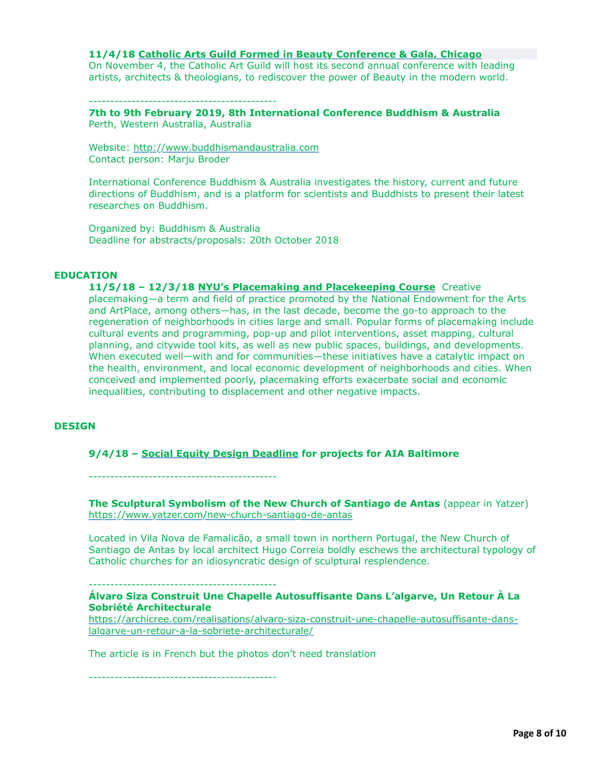## **11/4/18 [Catholic Arts Guild Formed in Beauty Conference & Gala, Chicago](https://www.catholicartguild.org/conference2018)**

On November 4, the Catholic Art Guild will host its second annual conference with leading artists, architects & theologians, to rediscover the power of Beauty in the modern world.

--------------------------------------------

**7th to 9th February 2019, 8th International Conference Buddhism & Australia** Perth, Western Australia, Australia

Website: [http://www.buddhismandaustralia.com](http://www.buddhismandaustralia.com/) Contact person: Marju Broder

International Conference Buddhism & Australia investigates the history, current and future directions of Buddhism, and is a platform for scientists and Buddhists to present their latest researches on Buddhism.

Organized by: Buddhism & Australia Deadline for abstracts/proposals: 20th October 2018

#### **EDUCATION**

**11/5/18 – 12/3/18 [NYU's Placemaking and Placekeeping Course](https://www.sps.nyu.edu/professional-pathways/courses/ECDV1-CE5300-placemaking-and-placekeeping.html)** Creative placemaking—a term and field of practice promoted by the National Endowment for the Arts and ArtPlace, among others—has, in the last decade, become the go-to approach to the regeneration of neighborhoods in cities large and small. Popular forms of placemaking include cultural events and programming, pop-up and pilot interventions, asset mapping, cultural planning, and citywide tool kits, as well as new public spaces, buildings, and developments. When executed well—with and for communities—these initiatives have a catalytic impact on the health, environment, and local economic development of neighborhoods and cities. When conceived and implemented poorly, placemaking efforts exacerbate social and economic inequalities, contributing to displacement and other negative impacts.

#### **DESIGN**

#### **9/4/18 – [Social Equity Design Deadline](http://www.aiabaltimore.org/announcing-the-social-equity-design-award-in-collaboration-with-the-neighborhood-design-center/) for projects for AIA Baltimore**

--------------------------------------------

**The Sculptural Symbolism of the New Church of Santiago de Antas** (appear in Yatzer) <https://www.yatzer.com/new-church-santiago-de-antas>

Located in Vila Nova de Famalicão, a small town in northern Portugal, the New Church of Santiago de Antas by local architect Hugo Correia boldly eschews the architectural typology of Catholic churches for an idiosyncratic design of sculptural resplendence.

--------------------------------------------

## **Álvaro Siza Construit Une Chapelle Autosuffisante Dans L'algarve, Un Retour À La Sobriété Architecturale**

[https://archicree.com/realisations/alvaro-siza-construit-une-chapelle-autosuffisante-dans](https://archicree.com/realisations/alvaro-siza-construit-une-chapelle-autosuffisante-dans-lalgarve-un-retour-a-la-sobriete-architecturale/)lalgarve-un-retour-a-la-sobriete-architecturale/

The article is in French but the photos don't need translation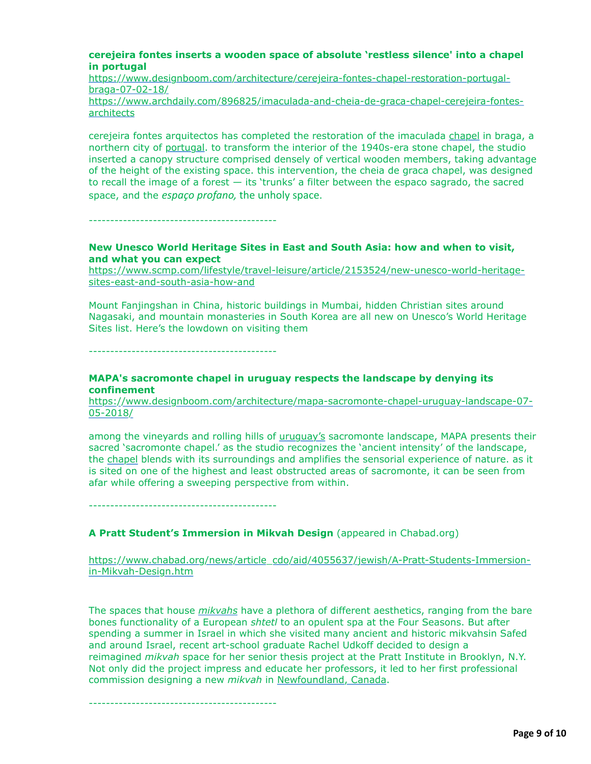### **cerejeira fontes inserts a wooden space of absolute 'restless silence' into a chapel in portugal**

[https://www.designboom.com/architecture/cerejeira-fontes-chapel-restoration-portugal](https://www.designboom.com/architecture/cerejeira-fontes-chapel-restoration-portugal-braga-07-02-18/)braga-07-02-18/

[https://www.archdaily.com/896825/imaculada-and-cheia-de-graca-chapel-cerejeira-fontes](https://www.archdaily.com/896825/imaculada-and-cheia-de-graca-chapel-cerejeira-fontes-architects)architects

cerejeira fontes arquitectos has completed the restoration of the imaculada [chapel](https://www.designboom.com/tag/church-architecture-and-design/) in braga, a northern city of [portugal](https://www.designboom.com/tag/architecture-in-portugal/). to transform the interior of the 1940s-era stone chapel, the studio inserted a canopy structure comprised densely of vertical wooden members, taking advantage of the height of the existing space. this intervention, the cheia de graca chapel, was designed to recall the image of a forest — its 'trunks' a filter between the espaco sagrado, the sacred space, and the *espaço profano,* the unholy space.

--------------------------------------------

## **New Unesco World Heritage Sites in East and South Asia: how and when to visit, and what you can expect**

[https://www.scmp.com/lifestyle/travel-leisure/article/2153524/new-unesco-world-heritage](https://www.scmp.com/lifestyle/travel-leisure/article/2153524/new-unesco-world-heritage-sites-east-and-south-asia-how-and)sites-east-and-south-asia-how-and

Mount Fanjingshan in China, historic buildings in Mumbai, hidden Christian sites around Nagasaki, and mountain monasteries in South Korea are all new on Unesco's World Heritage Sites list. Here's the lowdown on visiting them

--------------------------------------------

## **MAPA's sacromonte chapel in uruguay respects the landscape by denying its confinement**

[https://www.designboom.com/architecture/mapa-sacromonte-chapel-uruguay-landscape-07-](https://www.designboom.com/architecture/mapa-sacromonte-chapel-uruguay-landscape-07-05-2018/) 05-2018/

among the vineyards and rolling hills of [uruguay's](https://www.designboom.com/tag/architecture-in-uruguay/) sacromonte landscape, MAPA presents their sacred 'sacromonte chapel.' as the studio recognizes the 'ancient intensity' of the landscape, the [chapel](https://www.designboom.com/tag/church-architecture-and-design/) blends with its surroundings and amplifies the sensorial experience of nature. as it is sited on one of the highest and least obstructed areas of sacromonte, it can be seen from afar while offering a sweeping perspective from within.

--------------------------------------------

# **A Pratt Student's Immersion in Mikvah Design** (appeared in Chabad.org)

[https://www.chabad.org/news/article\\_cdo/aid/4055637/jewish/A-Pratt-Students-Immersion](https://www.chabad.org/news/article_cdo/aid/4055637/jewish/A-Pratt-Students-Immersion-in-Mikvah-Design.htm)in-Mikvah-Design.htm

The spaces that house *[mikvahs](https://www.chabad.org/theJewishWoman/article_cdo/aid/323424/jewish/Mikvah.htm)* have a plethora of different aesthetics, ranging from the bare bones functionality of a European *shtetl* to an opulent spa at the Four Seasons. But after spending a summer in Israel in which she visited many ancient and historic mikvahsin Safed and around Israel, recent art-school graduate Rachel Udkoff decided to design a reimagined *mikvah* space for her senior thesis project at the Pratt Institute in Brooklyn, N.Y. Not only did the project impress and educate her professors, it led to her first professional commission designing a new *mikvah* in [Newfoundland, Canada](https://www.chabad.org/news/article_cdo/aid/3596308/jewish/Newfoundland-the-Next-Frontier-to-Draw-Chabad-to-Its-Shores.htm).